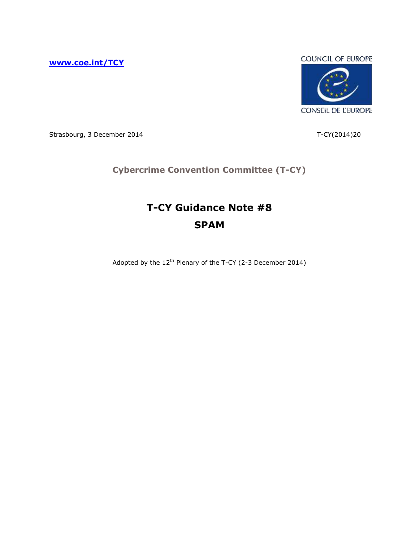**[www.coe.int/TCY](http://www.coe.int/TCY)**



Strasbourg, 3 December 2014 T-CY(2014)20

# **Cybercrime Convention Committee (T-CY)**

# **T-CY Guidance Note #8 SPAM**

Adopted by the 12<sup>th</sup> Plenary of the T-CY (2-3 December 2014)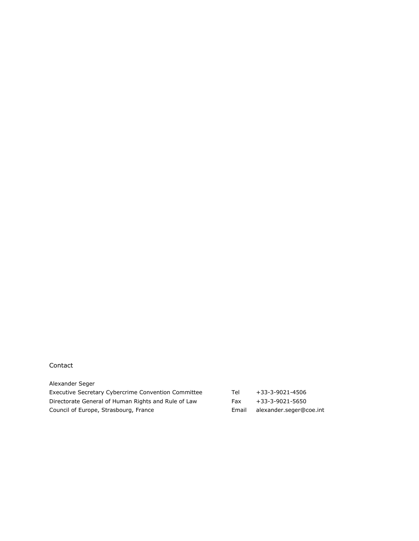#### Contact

| Alexander Seger                                     |       |                         |
|-----------------------------------------------------|-------|-------------------------|
| Executive Secretary Cybercrime Convention Committee | Tel   | +33-3-9021-4506         |
| Directorate General of Human Rights and Rule of Law | Fax   | +33-3-9021-5650         |
| Council of Europe, Strasbourg, France               | Email | alexander.seger@coe.int |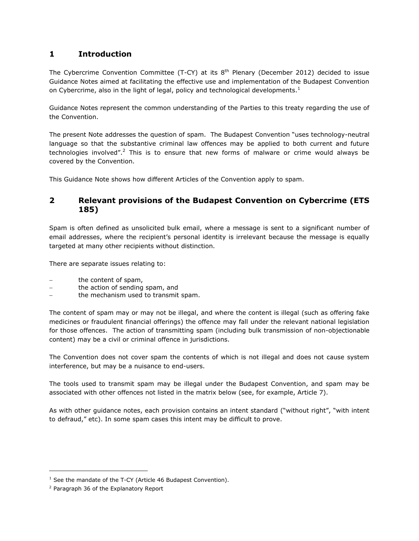# **1 Introduction**

The Cybercrime Convention Committee (T-CY) at its  $8<sup>th</sup>$  Plenary (December 2012) decided to issue Guidance Notes aimed at facilitating the effective use and implementation of the Budapest Convention on Cybercrime, also in the light of legal, policy and technological developments.<sup>1</sup>

Guidance Notes represent the common understanding of the Parties to this treaty regarding the use of the Convention.

The present Note addresses the question of spam. The Budapest Convention "uses technology-neutral language so that the substantive criminal law offences may be applied to both current and future technologies involved".<sup>2</sup> This is to ensure that new forms of malware or crime would always be covered by the Convention.

This Guidance Note shows how different Articles of the Convention apply to spam.

## **2 Relevant provisions of the Budapest Convention on Cybercrime (ETS 185)**

Spam is often defined as unsolicited bulk email, where a message is sent to a significant number of email addresses, where the recipient's personal identity is irrelevant because the message is equally targeted at many other recipients without distinction.

There are separate issues relating to:

- the content of spam,
- the action of sending spam, and
- the mechanism used to transmit spam.

The content of spam may or may not be illegal, and where the content is illegal (such as offering fake medicines or fraudulent financial offerings) the offence may fall under the relevant national legislation for those offences. The action of transmitting spam (including bulk transmission of non-objectionable content) may be a civil or criminal offence in jurisdictions.

The Convention does not cover spam the contents of which is not illegal and does not cause system interference, but may be a nuisance to end-users.

The tools used to transmit spam may be illegal under the Budapest Convention, and spam may be associated with other offences not listed in the matrix below (see, for example, Article 7).

As with other guidance notes, each provision contains an intent standard ("without right", "with intent to defraud," etc). In some spam cases this intent may be difficult to prove.

ł

 $1$  See the mandate of the T-CY (Article 46 Budapest Convention).

<sup>2</sup> Paragraph 36 of the Explanatory Report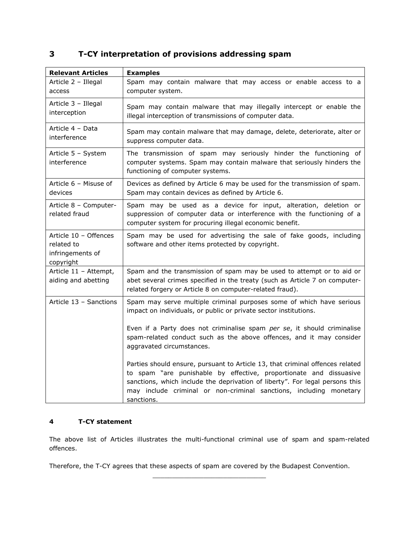# **3 T-CY interpretation of provisions addressing spam**

| <b>Relevant Articles</b>                                             | <b>Examples</b>                                                                                                                                                                                                                                                                                                         |
|----------------------------------------------------------------------|-------------------------------------------------------------------------------------------------------------------------------------------------------------------------------------------------------------------------------------------------------------------------------------------------------------------------|
| Article 2 - Illegal<br>access                                        | Spam may contain malware that may access or enable access to a<br>computer system.                                                                                                                                                                                                                                      |
| Article 3 - Illegal<br>interception                                  | Spam may contain malware that may illegally intercept or enable the<br>illegal interception of transmissions of computer data.                                                                                                                                                                                          |
| Article 4 - Data<br>interference                                     | Spam may contain malware that may damage, delete, deteriorate, alter or<br>suppress computer data.                                                                                                                                                                                                                      |
| Article 5 - System<br>interference                                   | The transmission of spam may seriously hinder the functioning of<br>computer systems. Spam may contain malware that seriously hinders the<br>functioning of computer systems.                                                                                                                                           |
| Article 6 - Misuse of<br>devices                                     | Devices as defined by Article 6 may be used for the transmission of spam.<br>Spam may contain devices as defined by Article 6.                                                                                                                                                                                          |
| Article 8 - Computer-<br>related fraud                               | Spam may be used as a device for input, alteration, deletion or<br>suppression of computer data or interference with the functioning of a<br>computer system for procuring illegal economic benefit.                                                                                                                    |
| Article 10 - Offences<br>related to<br>infringements of<br>copyright | Spam may be used for advertising the sale of fake goods, including<br>software and other items protected by copyright.                                                                                                                                                                                                  |
| Article 11 - Attempt,<br>aiding and abetting                         | Spam and the transmission of spam may be used to attempt or to aid or<br>abet several crimes specified in the treaty (such as Article 7 on computer-<br>related forgery or Article 8 on computer-related fraud).                                                                                                        |
| Article 13 - Sanctions                                               | Spam may serve multiple criminal purposes some of which have serious<br>impact on individuals, or public or private sector institutions.                                                                                                                                                                                |
|                                                                      | Even if a Party does not criminalise spam per se, it should criminalise<br>spam-related conduct such as the above offences, and it may consider<br>aggravated circumstances.                                                                                                                                            |
|                                                                      | Parties should ensure, pursuant to Article 13, that criminal offences related<br>to spam "are punishable by effective, proportionate and dissuasive<br>sanctions, which include the deprivation of liberty". For legal persons this<br>may include criminal or non-criminal sanctions, including monetary<br>sanctions. |

### **4 T-CY statement**

The above list of Articles illustrates the multi-functional criminal use of spam and spam-related offences.

\_\_\_\_\_\_\_\_\_\_\_\_\_\_\_\_\_\_\_\_\_\_\_\_\_\_\_\_\_

Therefore, the T-CY agrees that these aspects of spam are covered by the Budapest Convention.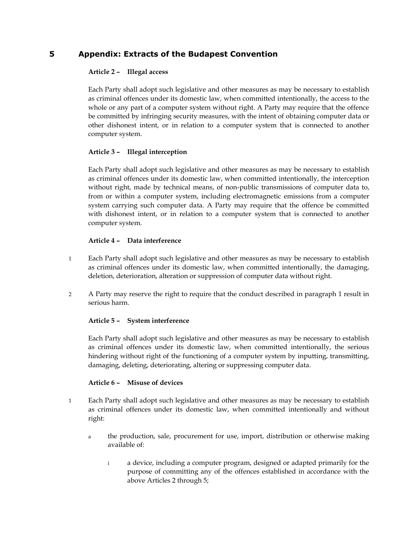### **5 Appendix: Extracts of the Budapest Convention**

#### **Article 2 ² Illegal access**

Each Party shall adopt such legislative and other measures as may be necessary to establish as criminal offences under its domestic law, when committed intentionally, the access to the whole or any part of a computer system without right. A Party may require that the offence be committed by infringing security measures, with the intent of obtaining computer data or other dishonest intent, or in relation to a computer system that is connected to another computer system.

#### **Article 3 ² Illegal interception**

Each Party shall adopt such legislative and other measures as may be necessary to establish as criminal offences under its domestic law, when committed intentionally, the interception without right, made by technical means, of non-public transmissions of computer data to, from or within a computer system, including electromagnetic emissions from a computer system carrying such computer data. A Party may require that the offence be committed with dishonest intent, or in relation to a computer system that is connected to another computer system.

#### **Article 4 ² Data interference**

- 1 Each Party shall adopt such legislative and other measures as may be necessary to establish as criminal offences under its domestic law, when committed intentionally, the damaging, deletion, deterioration, alteration or suppression of computer data without right.
- 2 A Party may reserve the right to require that the conduct described in paragraph 1 result in serious harm.

#### **Article 5 ² System interference**

Each Party shall adopt such legislative and other measures as may be necessary to establish as criminal offences under its domestic law, when committed intentionally, the serious hindering without right of the functioning of a computer system by inputting, transmitting, damaging, deleting, deteriorating, altering or suppressing computer data.

#### **Article 6 ² Misuse of devices**

- 1 Each Party shall adopt such legislative and other measures as may be necessary to establish as criminal offences under its domestic law, when committed intentionally and without right:
	- a the production, sale, procurement for use, import, distribution or otherwise making available of:
		- i a device, including a computer program, designed or adapted primarily for the purpose of committing any of the offences established in accordance with the above Articles 2 through 5;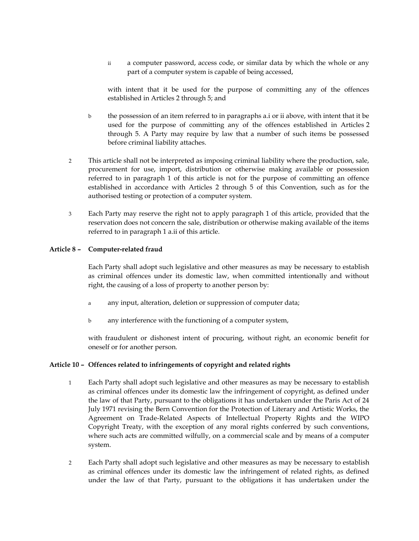ii a computer password, access code, or similar data by which the whole or any part of a computer system is capable of being accessed,

with intent that it be used for the purpose of committing any of the offences established in Articles 2 through 5; and

- b the possession of an item referred to in paragraphs a.i or ii above, with intent that it be used for the purpose of committing any of the offences established in Articles 2 through 5. A Party may require by law that a number of such items be possessed before criminal liability attaches.
- 2 This article shall not be interpreted as imposing criminal liability where the production, sale, procurement for use, import, distribution or otherwise making available or possession referred to in paragraph 1 of this article is not for the purpose of committing an offence established in accordance with Articles 2 through 5 of this Convention, such as for the authorised testing or protection of a computer system.
- 3 Each Party may reserve the right not to apply paragraph 1 of this article, provided that the reservation does not concern the sale, distribution or otherwise making available of the items referred to in paragraph 1 a.ii of this article.

#### **Article 8 ² Computer-related fraud**

Each Party shall adopt such legislative and other measures as may be necessary to establish as criminal offences under its domestic law, when committed intentionally and without right, the causing of a loss of property to another person by:

- a any input, alteration, deletion or suppression of computer data;
- b any interference with the functioning of a computer system,

with fraudulent or dishonest intent of procuring, without right, an economic benefit for oneself or for another person.

#### Article 10 - Offences related to infringements of copyright and related rights

- 1 Each Party shall adopt such legislative and other measures as may be necessary to establish as criminal offences under its domestic law the infringement of copyright, as defined under the law of that Party, pursuant to the obligations it has undertaken under the Paris Act of 24 July 1971 revising the Bern Convention for the Protection of Literary and Artistic Works, the Agreement on Trade-Related Aspects of Intellectual Property Rights and the WIPO Copyright Treaty, with the exception of any moral rights conferred by such conventions, where such acts are committed wilfully, on a commercial scale and by means of a computer system.
- 2 Each Party shall adopt such legislative and other measures as may be necessary to establish as criminal offences under its domestic law the infringement of related rights, as defined under the law of that Party, pursuant to the obligations it has undertaken under the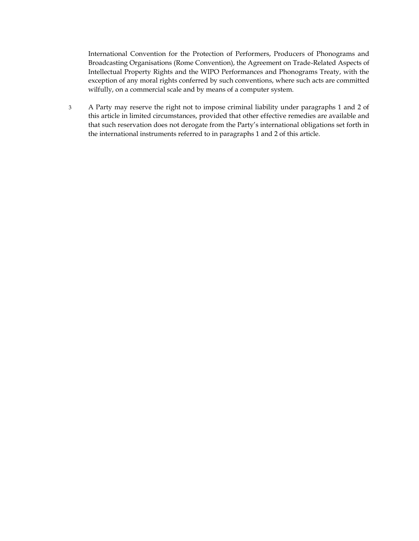International Convention for the Protection of Performers, Producers of Phonograms and Broadcasting Organisations (Rome Convention), the Agreement on Trade-Related Aspects of Intellectual Property Rights and the WIPO Performances and Phonograms Treaty, with the exception of any moral rights conferred by such conventions, where such acts are committed wilfully, on a commercial scale and by means of a computer system.

3 A Party may reserve the right not to impose criminal liability under paragraphs 1 and 2 of this article in limited circumstances, provided that other effective remedies are available and that such reservation does not derogate from the Party's international obligations set forth in the international instruments referred to in paragraphs 1 and 2 of this article.